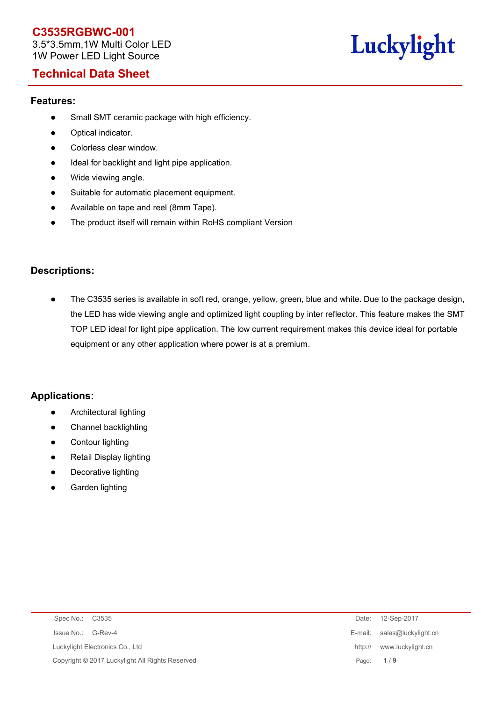3.5\*3.5mm,1W Multi Color LED 1W Power LED Light Source

# Luckylight

## **Technical Data Sheet**

#### **Features:**

- Small SMT ceramic package with high efficiency.
- Optical indicator.
- Colorless clear window.
- $\bullet$  Ideal for backlight and light pipe application.
- Wide viewing angle.
- Suitable for automatic placement equipment.
- Available on tape and reel (8mm Tape).
- The product itself will remain within RoHS compliant Version

### **Descriptions:**

 The C3535 series is available in soft red, orange, yellow, green, blue and white. Due to the package design, the LED has wide viewing angle and optimized light coupling by inter reflector. This feature makes the SMT TOP LED ideal for light pipe application. The low current requirement makes this device ideal for portable equipment or any other application where power is at a premium.

#### **Applications:**

- **•** Architectural lighting
- Channel backlighting
- Contour lighting
- Retail Display lighting
- Decorative lighting
- Garden lighting

| Spec No.: C3535                                 | 12-Sep-2017<br>Date:         |
|-------------------------------------------------|------------------------------|
| Issue No.: G-Rev-4                              | E-mail: sales@luckylight.cn  |
| Luckylight Electronics Co., Ltd                 | www.luckylight.cn<br>http:// |
| Copyright © 2017 Luckylight All Rights Reserved | Page: $1/9$                  |
|                                                 |                              |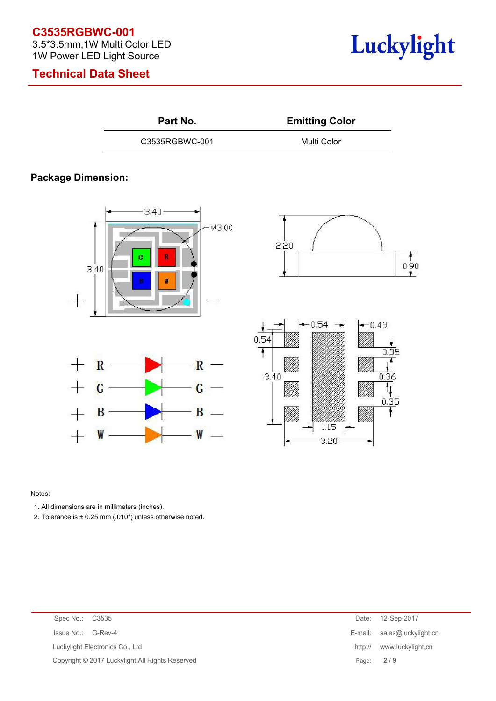3.5\*3.5mm,1W Multi Color LED 1W Power LED Light Source

# **Technical Data Sheet**



R

G

 $B -$ 

**Emitting Color** 

C3535RGBWC-001 Multi Color

## **Package Dimension:**







#### Notes:

1. All dimensions are in millimeters (inches).

 $\mathbb{R}$ 

G

B

W

 $\!{+}$ 

 $\frac{1}{\sqrt{2}}$ 

 $+$ 

2. Tolerance is  $\pm$  0.25 mm (.010") unless otherwise noted.

| Spec No.: C3535                                 | Date: 12-Sep-2017           |
|-------------------------------------------------|-----------------------------|
| Issue No.: G-Rev-4                              | E-mail: sales@luckylight.cn |
| Luckylight Electronics Co., Ltd                 | http:// www.luckylight.cn   |
| Copyright © 2017 Luckylight All Rights Reserved | Page: 2/9                   |
|                                                 |                             |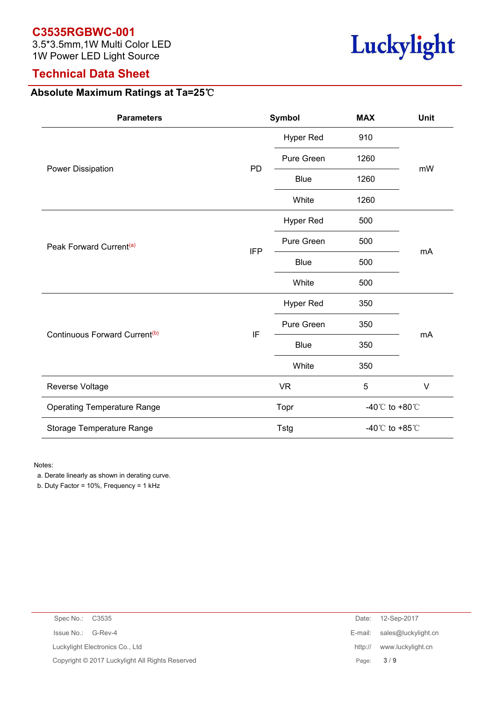3.5\*3.5mm,1W Multi Color LED 1W Power LED Light Source

## **Technical Data Sheet**

# **Absolute Maximum Ratings at Ta=25**℃

| <b>Parameters</b>                         |            | Symbol      | <b>MAX</b>                           | Unit   |  |
|-------------------------------------------|------------|-------------|--------------------------------------|--------|--|
|                                           |            | Hyper Red   | 910                                  |        |  |
|                                           | PD         | Pure Green  | 1260                                 |        |  |
| Power Dissipation                         |            | <b>Blue</b> | 1260                                 | mW     |  |
|                                           |            | White       | 1260                                 |        |  |
|                                           |            | Hyper Red   | 500                                  |        |  |
| Peak Forward Current <sup>(a)</sup>       | <b>IFP</b> | Pure Green  | 500                                  | mA     |  |
|                                           |            | <b>Blue</b> | 500                                  |        |  |
|                                           |            | White       | 500                                  |        |  |
|                                           | IF         | Hyper Red   | 350                                  |        |  |
| Continuous Forward Current <sup>(b)</sup> |            | Pure Green  | 350                                  | mA     |  |
|                                           |            | Blue        | 350                                  |        |  |
|                                           |            | White       | 350                                  |        |  |
| Reverse Voltage                           |            | <b>VR</b>   | $\sqrt{5}$                           | $\vee$ |  |
| <b>Operating Temperature Range</b>        |            | Topr        | -40 $^{\circ}$ C to +80 $^{\circ}$ C |        |  |
| Storage Temperature Range                 |            | <b>Tstg</b> | -40 $^{\circ}$ C to +85 $^{\circ}$ C |        |  |

Notes:

a. Derate linearly as shown in derating curve.

b. Duty Factor = 10%, Frequency = 1 kHz

| Spec No.: C3535    |                                                 | Date:   | 12-Sep-2017                 |
|--------------------|-------------------------------------------------|---------|-----------------------------|
| Issue No.: G-Rev-4 |                                                 |         | E-mail: sales@luckylight.cn |
|                    | Luckylight Electronics Co., Ltd                 | http:// | www.luckylight.cn           |
|                    | Copyright © 2017 Luckylight All Rights Reserved |         | Page: $3/9$                 |
|                    |                                                 |         |                             |

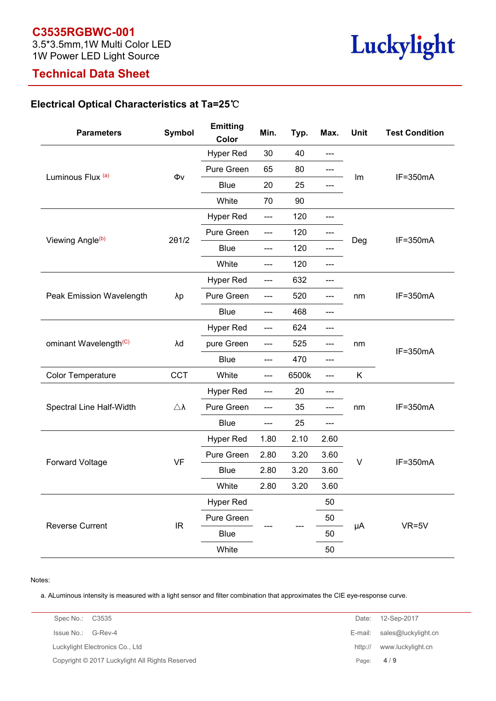#### **C3535RGBWC-001** 3.5\*3.5mm,1W Multi Color LED

1W Power LED Light Source

# **Technical Data Sheet**

## **Electrical Optical Characteristics at Ta=25**℃

| <b>Parameters</b>                 | <b>Symbol</b>      | <b>Emitting</b><br>Color | Min.           | Typ.  | Max.           | Unit   | <b>Test Condition</b> |
|-----------------------------------|--------------------|--------------------------|----------------|-------|----------------|--------|-----------------------|
|                                   | Φv                 | <b>Hyper Red</b>         | 30             | 40    | $---$          | Im     |                       |
|                                   |                    | Pure Green               | 65             | 80    | ---            |        |                       |
| Luminous Flux (a)                 |                    | <b>Blue</b>              | 20             | 25    | $---$          |        | IF=350mA              |
|                                   |                    | White                    | 70             | 90    |                |        |                       |
|                                   |                    | <b>Hyper Red</b>         | ---            | 120   | $---$          | Deg    | IF=350mA              |
|                                   |                    | Pure Green               | $\overline{a}$ | 120   | $---$          |        |                       |
| Viewing Angle <sup>(b)</sup>      | $2\theta$ 1/2      | <b>Blue</b>              | $---$          | 120   | $---$          |        |                       |
|                                   |                    | White                    | $---$          | 120   | $---$          |        |                       |
|                                   |                    | <b>Hyper Red</b>         | $---$          | 632   | $---$          |        |                       |
| Peak Emission Wavelength          | λp                 | Pure Green               | $---$          | 520   | $---$          | nm     | IF=350mA              |
|                                   |                    | <b>Blue</b>              | $---$          | 468   | $---$          |        |                       |
|                                   | λd                 | <b>Hyper Red</b>         | $---$          | 624   | $---$          | nm     | IF=350mA              |
| ominant Wavelength <sup>(C)</sup> |                    | pure Green               | $---$          | 525   | $---$          |        |                       |
|                                   |                    | <b>Blue</b>              | $---$          | 470   | $---$          |        |                       |
| Color Temperature                 | CCT                | White                    | $---$          | 6500k | $---$          | K      |                       |
|                                   |                    | <b>Hyper Red</b>         | $---$          | 20    | $---$          | nm     |                       |
| Spectral Line Half-Width          | $\triangle\lambda$ | Pure Green               | ---            | 35    | $---$          |        | IF=350mA              |
|                                   |                    | <b>Blue</b>              | ---            | 25    | $\overline{a}$ |        |                       |
|                                   |                    | <b>Hyper Red</b>         | 1.80           | 2.10  | 2.60           |        |                       |
|                                   |                    | Pure Green               | 2.80           | 3.20  | 3.60           |        | IF=350mA              |
| <b>Forward Voltage</b>            | <b>VF</b>          | <b>Blue</b>              | 2.80           | 3.20  | 3.60           | $\vee$ |                       |
|                                   |                    | White                    | 2.80           | 3.20  | 3.60           |        |                       |
|                                   |                    | <b>Hyper Red</b>         |                |       | 50             |        |                       |
|                                   |                    | Pure Green               |                |       | 50             |        |                       |
| Reverse Current                   | IR                 | <b>Blue</b>              |                |       | 50             | μA     | $VR=5V$               |
|                                   |                    | White                    |                |       | 50             |        |                       |

#### Notes:

a. ALuminous intensity is measured with a light sensor and filter combination that approximates the CIE eye-response curve.

| Spec No.: C3535                                 | Date: 12-Sep-2017            |
|-------------------------------------------------|------------------------------|
| Issue No.: G-Rev-4                              | E-mail: sales@luckylight.cn  |
| Luckylight Electronics Co., Ltd                 | www.luckylight.cn<br>http:// |
| Copyright © 2017 Luckylight All Rights Reserved | Page: $4/9$                  |

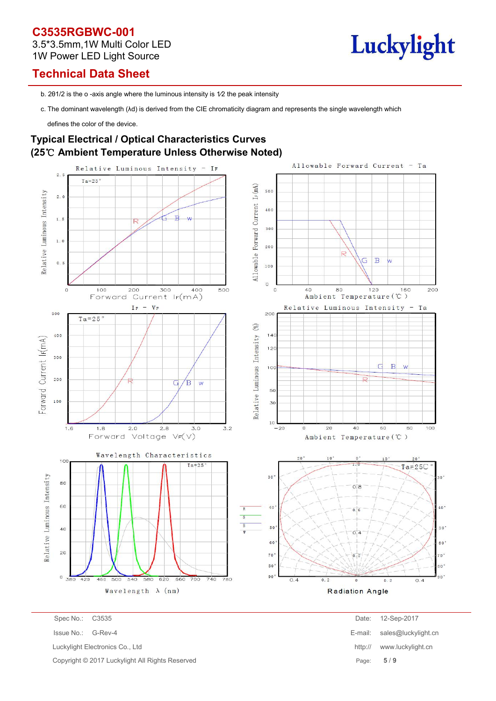### **C3535RGBWC-001** 3.5\*3.5mm,1W Multi Color LED 1W Power LED Light Source

# Luckylight

# **Technical Data Sheet**

b. 201/2 is the o -axis angle where the luminous intensity is 1/2 the peak intensity

c. The dominant wavelength (λd) is derived from the CIE chromaticity diagram and represents the single wavelength which

defines the color of the device.

### **Typical Electrical / Optical Characteristics Curves (25**℃ **Ambient Temperature Unless Otherwise Noted)**



Copyright © 2017 Luckylight All Rights Reserved

| Spec No.: C3535                                 |       | Date: 12-Sep-2017           |
|-------------------------------------------------|-------|-----------------------------|
| Issue No.: G-Rev-4                              |       | E-mail: sales@luckylight.cn |
| Luckylight Electronics Co., Ltd                 |       | http:// www.luckylight.cn   |
| Copyright © 2017 Luckylight All Rights Reserved | Page: | 5/9                         |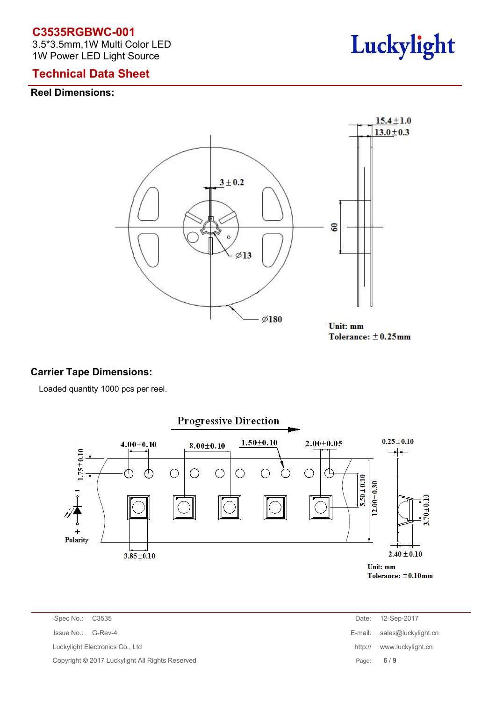3.5\*3.5mm,1W Multi Color LED 1W Power LED Light Source

# Luckylight

## **Technical Data Sheet**

#### **Reel Dimensions:**



### **Carrier Tape Dimensions:**

Loaded quantity 1000 pcs per reel.



| Spec No.: | C <sub>3535</sub> |
|-----------|-------------------|
|           |                   |

| Spec No.: C3535                                 | Date:       | 12-Sep-2017                 |
|-------------------------------------------------|-------------|-----------------------------|
| Issue No.: G-Rev-4                              |             | E-mail: sales@luckylight.cn |
| uckylight Electronics Co., Ltd                  | http://     | www.luckylight.cn           |
| Copyright © 2017 Luckylight All Rights Reserved | Page: $6/9$ |                             |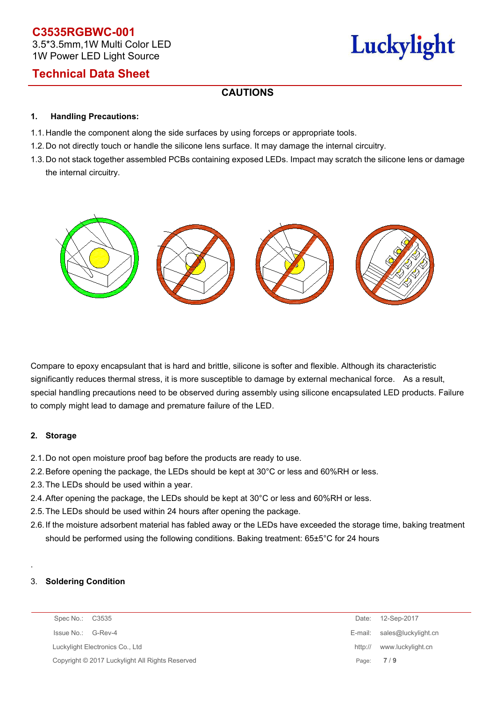## **C3535RGBWC-001** 3.5\*3.5mm,1W Multi Color LED 1W Power LED Light Source

# Luckylight

# **Technical Data Sheet**

### **CAUTIONS**

#### **1. Handling Precautions:**

- 1.1. Handle the component along the side surfaces by using forceps or appropriate tools.
- 1.2. Do not directly touch or handle the silicone lens surface. It may damage the internal circuitry.
- 1.3. Do not stack together assembled PCBs containing exposed LEDs. Impact may scratch the silicone lens or damage the internal circuitry.



Compare to epoxy encapsulant that is hard and brittle, silicone is softer and flexible. Although its characteristic significantly reduces thermal stress, it is more susceptible to damage by external mechanical force. As a result, special handling precautions need to be observed during assembly using silicone encapsulated LED products. Failure to comply might lead to damage and premature failure of the LED.

#### **2. Storage**

- 2.1.Do not open moisture proof bag before the products are ready to use.
- 2.2.Before opening the package, the LEDs should be kept at 30°C or less and 60%RH or less.
- 2.3.The LEDs should be used within a year.
- 2.4.After opening the package, the LEDs should be kept at 30°C or less and 60%RH or less.
- 2.5.The LEDs should be used within 24 hours after opening the package.
- 2.6.If the moisture adsorbent material has fabled away or the LEDs have exceeded the storage time, baking treatment should be performed using the following conditions. Baking treatment: 65±5°C for 24 hours

#### .3. **Soldering Condition**

| Spec No.: C3535                                 | Date:   | 12-Sep-2017                 |
|-------------------------------------------------|---------|-----------------------------|
| Issue No.: G-Rev-4                              |         | E-mail: sales@luckylight.cn |
| Luckylight Electronics Co., Ltd                 | http:// | www.luckylight.cn           |
| Copyright © 2017 Luckylight All Rights Reserved |         | Page: 7/9                   |
|                                                 |         |                             |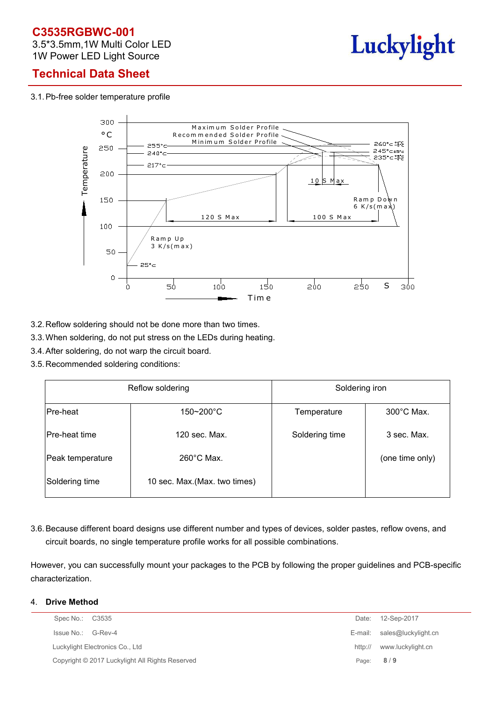3.5\*3.5mm,1W Multi Color LED 1W Power LED Light Source



# **Technical Data Sheet**

3.1.Pb-free solder temperature profile



- 3.2.Reflow soldering should not be done more than two times.
- 3.3.When soldering, do not put stress on the LEDs during heating.
- 3.4.After soldering, do not warp the circuit board.
- 3.5.Recommended soldering conditions:

| Reflow soldering     |                               | Soldering iron |                      |  |  |
|----------------------|-------------------------------|----------------|----------------------|--|--|
| Pre-heat             | $150 - 200^{\circ}$ C         | Temperature    | $300^{\circ}$ C Max. |  |  |
| <b>Pre-heat time</b> | 120 sec. Max.                 | Soldering time | 3 sec. Max.          |  |  |
| Peak temperature     | $260^{\circ}$ C Max.          |                | (one time only)      |  |  |
| Soldering time       | 10 sec. Max. (Max. two times) |                |                      |  |  |

3.6.Because different board designs use different number and types of devices, solder pastes, reflow ovens, and circuit boards, no single temperature profile works for all possible combinations.

However, you can successfully mount your packages to the PCB by following the proper guidelines and PCB-specific characterization.

#### 4. **Drive Method**

| Spec No.: C3535                                 | Date:   | 12-Sep-2017                 |
|-------------------------------------------------|---------|-----------------------------|
| Issue No.:<br>G-Rev-4                           |         | E-mail: sales@luckylight.cn |
| Luckylight Electronics Co., Ltd                 | http:// | www.luckylight.cn           |
| Copyright © 2017 Luckylight All Rights Reserved |         | Page: 8/9                   |
|                                                 |         |                             |